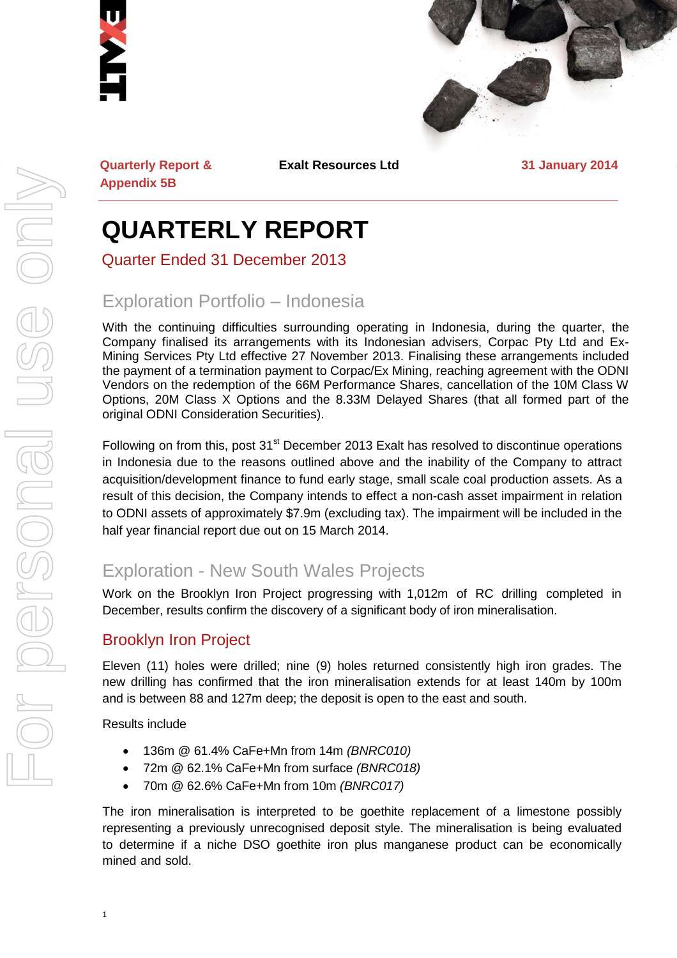



**Quarterly Report & Appendix 5B**

**Exalt Resources Ltd 31 January 2014**

## **QUARTERLY REPORT**

Quarter Ended 31 December 2013

## Exploration Portfolio – Indonesia

With the continuing difficulties surrounding operating in Indonesia, during the quarter, the Company finalised its arrangements with its Indonesian advisers, Corpac Pty Ltd and Ex-Mining Services Pty Ltd effective 27 November 2013. Finalising these arrangements included the payment of a termination payment to Corpac/Ex Mining, reaching agreement with the ODNI Vendors on the redemption of the 66M Performance Shares, cancellation of the 10M Class W Options, 20M Class X Options and the 8.33M Delayed Shares (that all formed part of the original ODNI Consideration Securities).

Following on from this, post 31<sup>st</sup> December 2013 Exalt has resolved to discontinue operations in Indonesia due to the reasons outlined above and the inability of the Company to attract acquisition/development finance to fund early stage, small scale coal production assets. As a result of this decision, the Company intends to effect a non-cash asset impairment in relation to ODNI assets of approximately \$7.9m (excluding tax). The impairment will be included in the half year financial report due out on 15 March 2014.

## Exploration - New South Wales Projects

Work on the Brooklyn Iron Project progressing with 1,012m of RC drilling completed in December, results confirm the discovery of a significant body of iron mineralisation.

#### Brooklyn Iron Project

Eleven (11) holes were drilled; nine (9) holes returned consistently high iron grades. The new drilling has confirmed that the iron mineralisation extends for at least 140m by 100m and is between 88 and 127m deep; the deposit is open to the east and south.

Results include

- 136m @ 61.4% CaFe+Mn from 14m *(BNRC010)*
- 72m @ 62.1% CaFe+Mn from surface *(BNRC018)*
- 70m @ 62.6% CaFe+Mn from 10m *(BNRC017)*

The iron mineralisation is interpreted to be goethite replacement of a limestone possibly representing a previously unrecognised deposit style. The mineralisation is being evaluated to determine if a niche DSO goethite iron plus manganese product can be economically mined and sold.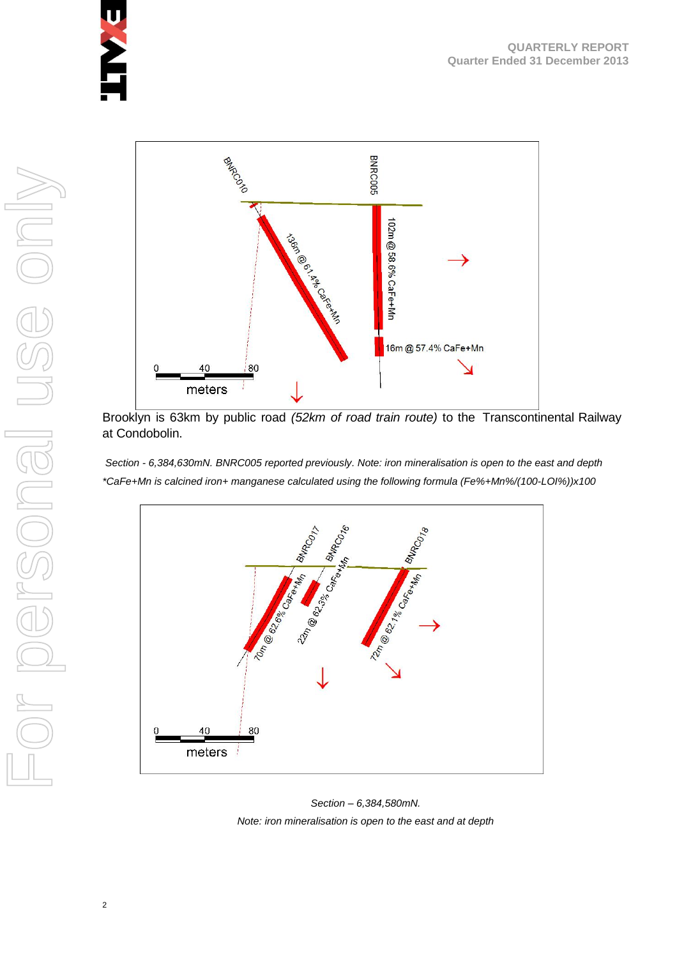

Brooklyn is 63km by public road *(52km of road train route)* to the Transcontinental Railway at Condobolin.

*Section - 6,384,630mN. BNRC005 reported previously. Note: iron mineralisation is open to the east and depth \*CaFe+Mn is calcined iron+ manganese calculated using the following formula (Fe%+Mn%/(100-LOI%))x100*



*Section – 6,384,580mN. Note: iron mineralisation is open to the east and at depth*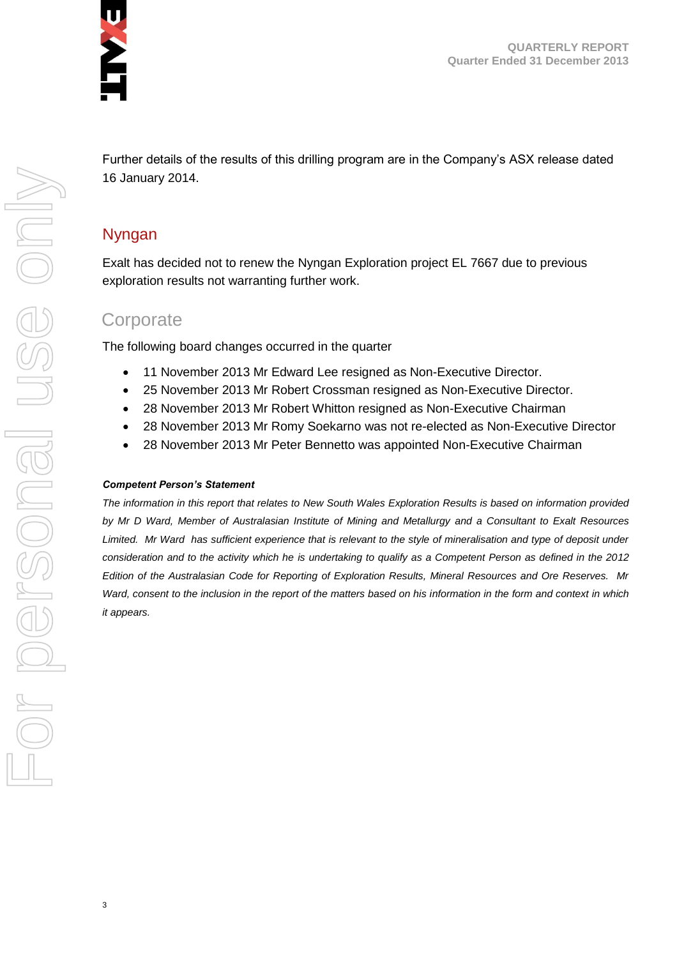

**QUARTERLY REPORT Quarter Ended 31 December 2013**

Further details of the results of this drilling program are in the Company's ASX release dated 16 January 2014.

#### Nyngan

Exalt has decided not to renew the Nyngan Exploration project EL 7667 due to previous exploration results not warranting further work.

#### **Corporate**

The following board changes occurred in the quarter

- 11 November 2013 Mr Edward Lee resigned as Non-Executive Director.
- 25 November 2013 Mr Robert Crossman resigned as Non-Executive Director.
- 28 November 2013 Mr Robert Whitton resigned as Non-Executive Chairman
- 28 November 2013 Mr Romy Soekarno was not re-elected as Non-Executive Director
- 28 November 2013 Mr Peter Bennetto was appointed Non-Executive Chairman

#### *Competent Person's Statement*

*The information in this report that relates to New South Wales Exploration Results is based on information provided by Mr D Ward, Member of Australasian Institute of Mining and Metallurgy and a Consultant to Exalt Resources*  Limited. Mr Ward has sufficient experience that is relevant to the style of mineralisation and type of deposit under *consideration and to the activity which he is undertaking to qualify as a Competent Person as defined in the 2012 Edition of the Australasian Code for Reporting of Exploration Results, Mineral Resources and Ore Reserves. Mr Ward, consent to the inclusion in the report of the matters based on his information in the form and context in which it appears.*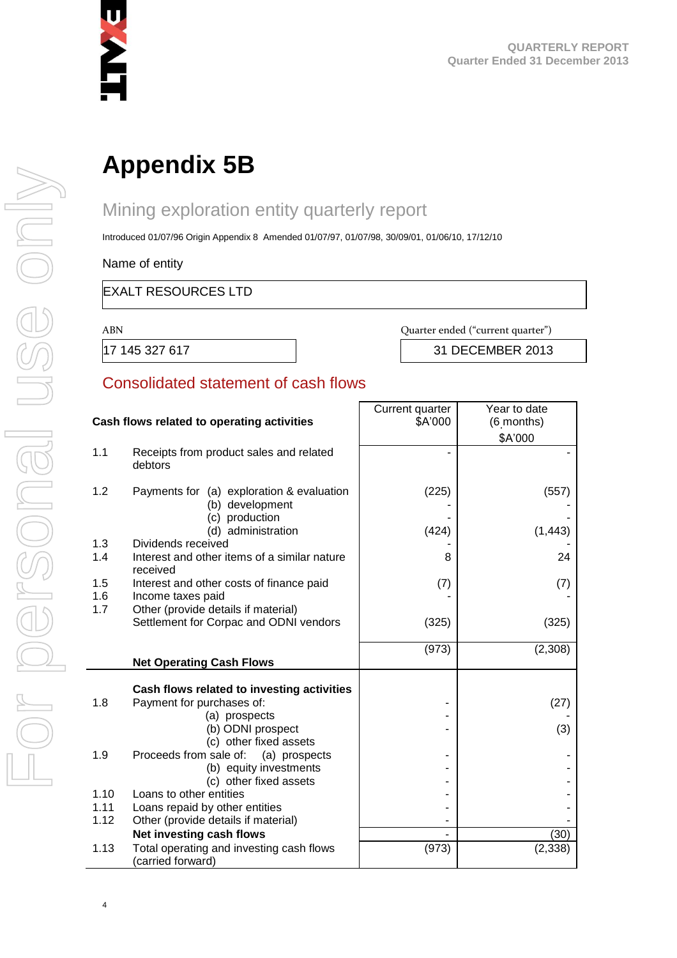

# **Appendix 5B**

## Mining exploration entity quarterly report

Introduced 01/07/96 Origin Appendix 8 Amended 01/07/97, 01/07/98, 30/09/01, 01/06/10, 17/12/10

Name of entity

#### EXALT RESOURCES LTD

ABN Quarter ended ("current quarter")

17 145 327 617 31 DECEMBER 2013

#### Consolidated statement of cash flows

|      |                                                                                | Current quarter | Year to date |
|------|--------------------------------------------------------------------------------|-----------------|--------------|
|      | Cash flows related to operating activities                                     | \$A'000         | (6 months)   |
|      |                                                                                |                 | \$A'000      |
| 1.1  | Receipts from product sales and related<br>debtors                             |                 |              |
| 1.2  | Payments for (a) exploration & evaluation<br>(b) development<br>(c) production | (225)           | (557)        |
|      | (d) administration                                                             | (424)           | (1, 443)     |
| 1.3  | Dividends received                                                             |                 |              |
| 1.4  | Interest and other items of a similar nature<br>received                       | 8               | 24           |
| 1.5  | Interest and other costs of finance paid                                       | (7)             | (7)          |
| 1.6  | Income taxes paid                                                              |                 |              |
| 1.7  | Other (provide details if material)                                            |                 |              |
|      | Settlement for Corpac and ODNI vendors                                         | (325)           | (325)        |
|      |                                                                                |                 |              |
|      | <b>Net Operating Cash Flows</b>                                                | (973)           | (2,308)      |
|      |                                                                                |                 |              |
|      | Cash flows related to investing activities                                     |                 |              |
| 1.8  | Payment for purchases of:                                                      |                 | (27)         |
|      | (a) prospects                                                                  |                 |              |
|      | (b) ODNI prospect                                                              |                 | (3)          |
|      | (c) other fixed assets                                                         |                 |              |
| 1.9  | Proceeds from sale of:<br>(a) prospects                                        |                 |              |
|      | (b) equity investments                                                         |                 |              |
|      | (c) other fixed assets                                                         |                 |              |
| 1.10 | Loans to other entities                                                        |                 |              |
| 1.11 | Loans repaid by other entities                                                 |                 |              |
| 1.12 | Other (provide details if material)                                            |                 |              |
|      | Net investing cash flows                                                       |                 | (30)         |
| 1.13 | Total operating and investing cash flows<br>(carried forward)                  | (973)           | (2, 338)     |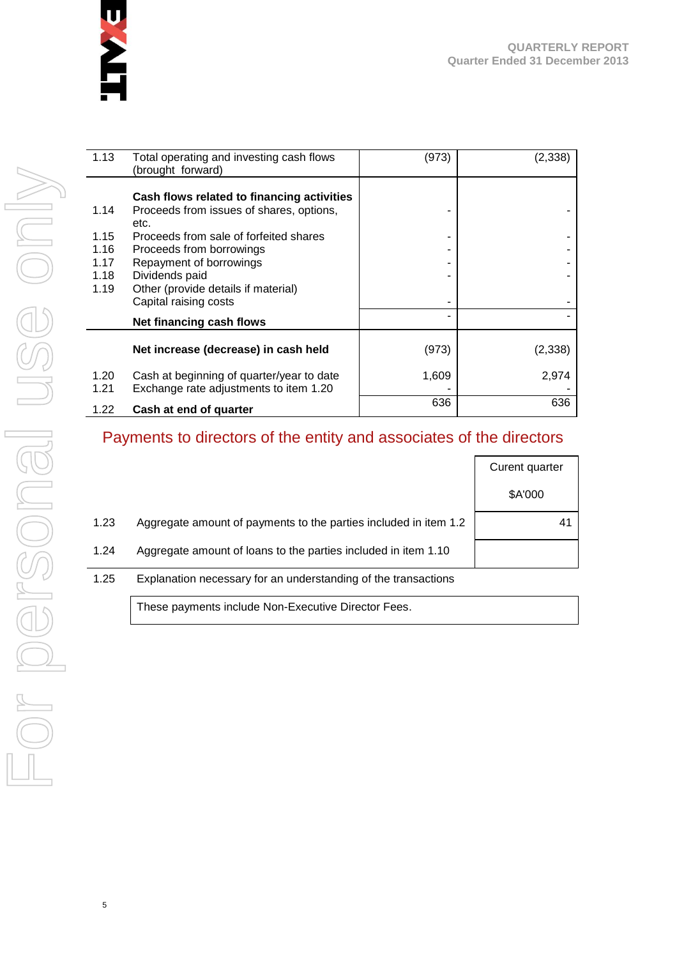

| 1.13         | Total operating and investing cash flows<br>(brought forward)                          | (973) | (2,338) |
|--------------|----------------------------------------------------------------------------------------|-------|---------|
| 1.14         | Cash flows related to financing activities<br>Proceeds from issues of shares, options, |       |         |
|              | etc.                                                                                   |       |         |
| 1.15<br>1.16 | Proceeds from sale of forfeited shares<br>Proceeds from borrowings                     |       |         |
| 1.17         | Repayment of borrowings                                                                |       |         |
| 1.18<br>1.19 | Dividends paid<br>Other (provide details if material)                                  |       |         |
|              | Capital raising costs                                                                  |       |         |
|              | Net financing cash flows                                                               |       |         |
|              | Net increase (decrease) in cash held                                                   | (973) | (2,338) |
| 1.20         | Cash at beginning of quarter/year to date                                              | 1,609 | 2,974   |
| 1.21         | Exchange rate adjustments to item 1.20                                                 |       |         |
| 1.22         | Cash at end of quarter                                                                 | 636   | 636     |

#### Payments to directors of the entity and associates of the directors

|      |                                                                  | Curent quarter |
|------|------------------------------------------------------------------|----------------|
|      |                                                                  | \$A'000        |
| 1.23 | Aggregate amount of payments to the parties included in item 1.2 | 41             |
| 1.24 | Aggregate amount of loans to the parties included in item 1.10   |                |
| 1.25 | Explanation necessary for an understanding of the transactions   |                |

These payments include Non-Executive Director Fees.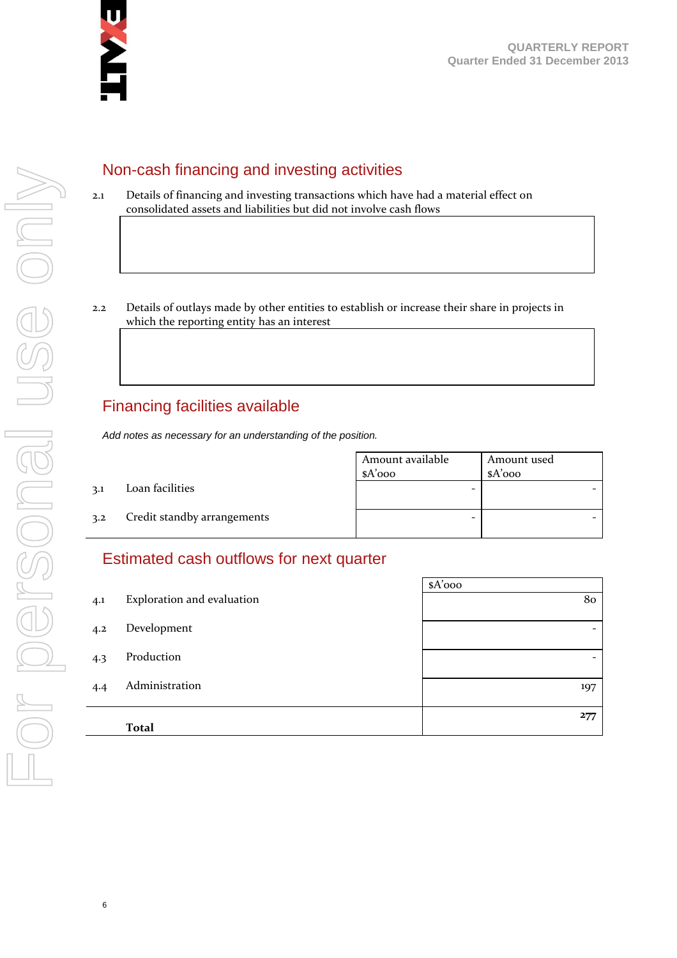

#### Non-cash financing and investing activities

- 2.1 Details of financing and investing transactions which have had a material effect on consolidated assets and liabilities but did not involve cash flows
- 2.2 Details of outlays made by other entities to establish or increase their share in projects in which the reporting entity has an interest

### Financing facilities available

*Add notes as necessary for an understanding of the position.*

|     |                             | Amount available<br>$A'$ 000 | Amount used<br>$A'$ 000 |
|-----|-----------------------------|------------------------------|-------------------------|
| 3.1 | Loan facilities             | -                            |                         |
| 3.2 | Credit standby arrangements | -                            |                         |

#### Estimated cash outflows for next quarter

|     |                            | $A'$ 000                 |
|-----|----------------------------|--------------------------|
| 4.1 | Exploration and evaluation | 80                       |
| 4.2 | Development                | $\overline{\phantom{a}}$ |
| 4.3 | Production                 |                          |
| 4.4 | Administration             | 197                      |
|     | <b>Total</b>               | 277                      |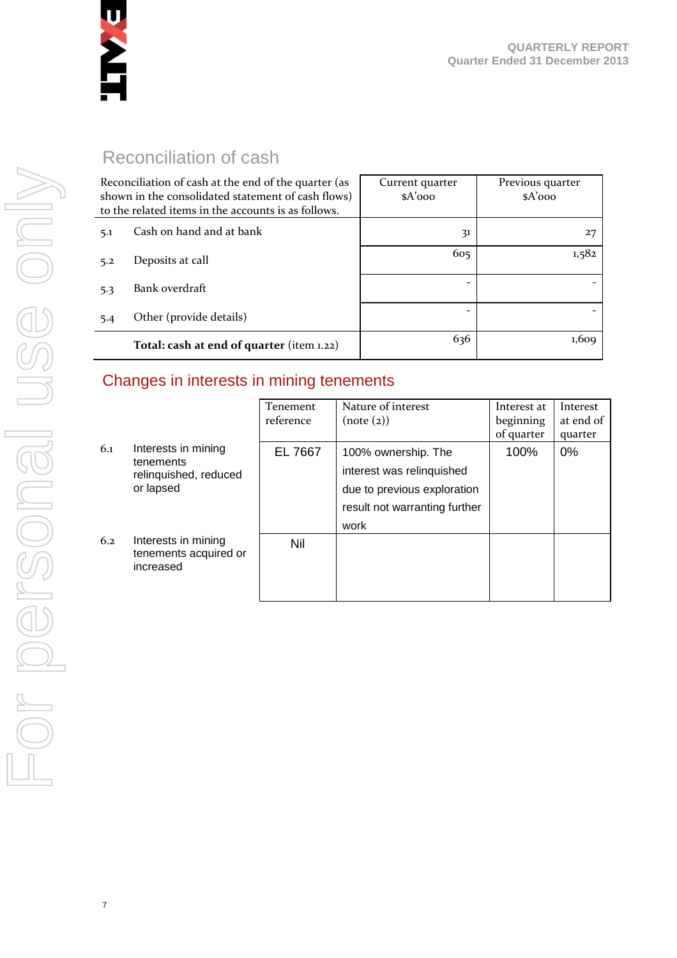

### Reconciliation of cash

| Reconciliation of cash at the end of the quarter (as<br>shown in the consolidated statement of cash flows)<br>to the related items in the accounts is as follows. |                                           | Current quarter<br>$A'$ 000 | Previous quarter<br>$A'$ 000 |
|-------------------------------------------------------------------------------------------------------------------------------------------------------------------|-------------------------------------------|-----------------------------|------------------------------|
| 5.1                                                                                                                                                               | Cash on hand and at bank                  | 31                          | 27                           |
| 5.2                                                                                                                                                               | Deposits at call                          | 605                         | 1,582                        |
| 5.3                                                                                                                                                               | Bank overdraft                            |                             |                              |
| 5.4                                                                                                                                                               | Other (provide details)                   | $\qquad \qquad$             |                              |
|                                                                                                                                                                   | Total: cash at end of quarter (item 1.22) | 636                         | 1,609                        |

#### Changes in interests in mining tenements

|     |                                                                        | <b>Tenement</b><br>reference | Nature of interest<br>(note (2))                                                                                         | Interest at<br>beginning<br>of quarter | Interest<br>at end of<br>quarter |
|-----|------------------------------------------------------------------------|------------------------------|--------------------------------------------------------------------------------------------------------------------------|----------------------------------------|----------------------------------|
| 6.1 | Interests in mining<br>tenements<br>relinquished, reduced<br>or lapsed | EL 7667                      | 100% ownership. The<br>interest was relinquished<br>due to previous exploration<br>result not warranting further<br>work | 100%                                   | 0%                               |
| 6.2 | Interests in mining<br>tenements acquired or<br>increased              | <b>Nil</b>                   |                                                                                                                          |                                        |                                  |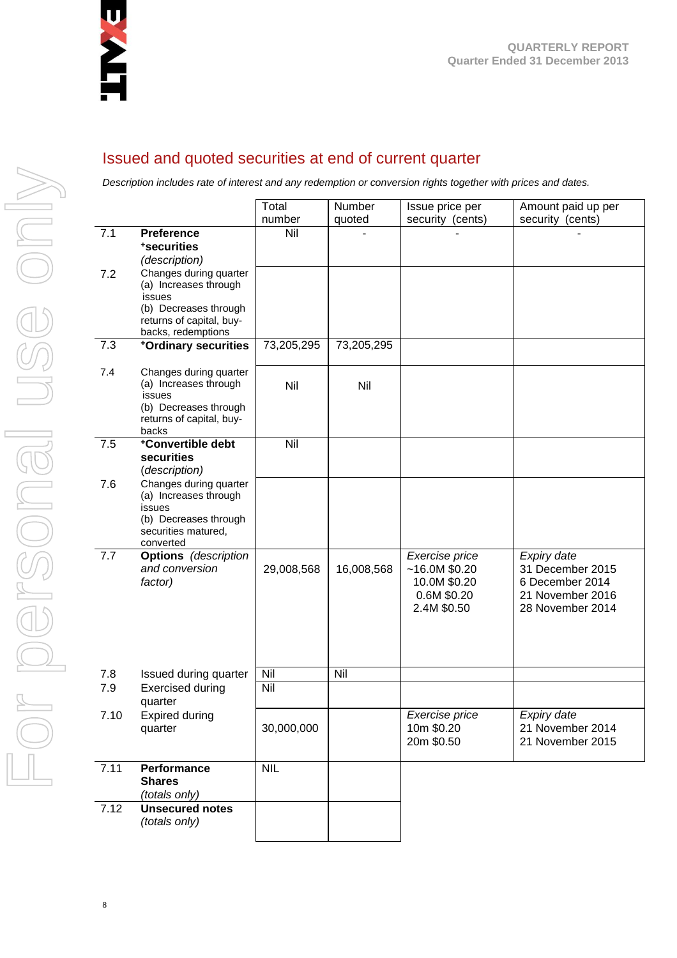

#### Issued and quoted securities at end of current quarter

*Description includes rate of interest and any redemption or conversion rights together with prices and dates.*

|      |                                                                                                                                      | Total         | Number     | Issue price per                                                               | Amount paid up per                                                                         |
|------|--------------------------------------------------------------------------------------------------------------------------------------|---------------|------------|-------------------------------------------------------------------------------|--------------------------------------------------------------------------------------------|
| 7.1  | <b>Preference</b>                                                                                                                    | number<br>Nil | quoted     | security (cents)                                                              | security (cents)                                                                           |
|      | *securities<br>(description)                                                                                                         |               |            |                                                                               |                                                                                            |
| 7.2  | Changes during quarter<br>(a) Increases through<br>issues<br>(b) Decreases through<br>returns of capital, buy-<br>backs, redemptions |               |            |                                                                               |                                                                                            |
| 7.3  | +Ordinary securities                                                                                                                 | 73,205,295    | 73,205,295 |                                                                               |                                                                                            |
| 7.4  | Changes during quarter<br>(a) Increases through<br>issues<br>(b) Decreases through<br>returns of capital, buy-<br>backs              | Nil           | Nil        |                                                                               |                                                                                            |
| 7.5  | *Convertible debt<br>securities<br>(description)                                                                                     | Nil           |            |                                                                               |                                                                                            |
| 7.6  | Changes during quarter<br>(a) Increases through<br>issues<br>(b) Decreases through<br>securities matured,<br>converted               |               |            |                                                                               |                                                                                            |
| 7.7  | <b>Options</b> (description<br>and conversion<br>factor)                                                                             | 29,008,568    | 16,008,568 | Exercise price<br>~16.0M~\$0.20<br>10.0M \$0.20<br>0.6M \$0.20<br>2.4M \$0.50 | Expiry date<br>31 December 2015<br>6 December 2014<br>21 November 2016<br>28 November 2014 |
| 7.8  | Issued during quarter                                                                                                                | Nil           | Nil        |                                                                               |                                                                                            |
| 7.9  | <b>Exercised during</b><br>quarter                                                                                                   | Nil           |            |                                                                               |                                                                                            |
| 7.10 | <b>Expired during</b><br>quarter                                                                                                     | 30,000,000    |            | Exercise price<br>10m \$0.20<br>20m \$0.50                                    | Expiry date<br>21 November 2014<br>21 November 2015                                        |
| 7.11 | Performance<br><b>Shares</b><br>(totals only)                                                                                        | <b>NIL</b>    |            |                                                                               |                                                                                            |
| 7.12 | <b>Unsecured notes</b><br>(totals only)                                                                                              |               |            |                                                                               |                                                                                            |